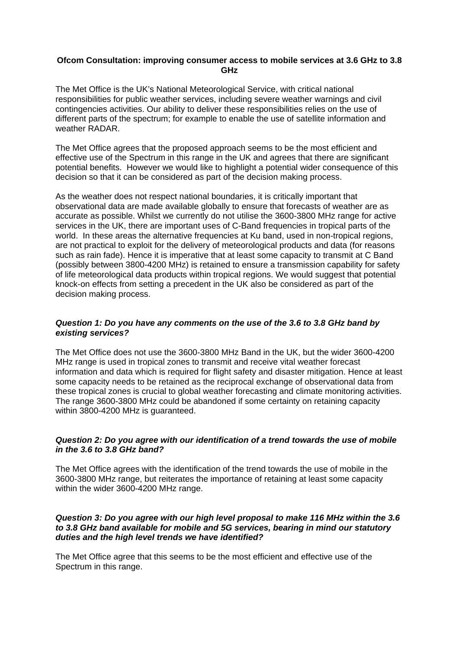### **Ofcom Consultation: improving consumer access to mobile services at 3.6 GHz to 3.8 GHz**

The Met Office is the UK's National Meteorological Service, with critical national responsibilities for public weather services, including severe weather warnings and civil contingencies activities. Our ability to deliver these responsibilities relies on the use of different parts of the spectrum; for example to enable the use of satellite information and weather RADAR.

The Met Office agrees that the proposed approach seems to be the most efficient and effective use of the Spectrum in this range in the UK and agrees that there are significant potential benefits. However we would like to highlight a potential wider consequence of this decision so that it can be considered as part of the decision making process.

As the weather does not respect national boundaries, it is critically important that observational data are made available globally to ensure that forecasts of weather are as accurate as possible. Whilst we currently do not utilise the 3600-3800 MHz range for active services in the UK, there are important uses of C-Band frequencies in tropical parts of the world. In these areas the alternative frequencies at Ku band, used in non-tropical regions, are not practical to exploit for the delivery of meteorological products and data (for reasons such as rain fade). Hence it is imperative that at least some capacity to transmit at C Band (possibly between 3800-4200 MHz) is retained to ensure a transmission capability for safety of life meteorological data products within tropical regions. We would suggest that potential knock-on effects from setting a precedent in the UK also be considered as part of the decision making process.

## *Question 1: Do you have any comments on the use of the 3.6 to 3.8 GHz band by existing services?*

The Met Office does not use the 3600-3800 MHz Band in the UK, but the wider 3600-4200 MHz range is used in tropical zones to transmit and receive vital weather forecast information and data which is required for flight safety and disaster mitigation. Hence at least some capacity needs to be retained as the reciprocal exchange of observational data from these tropical zones is crucial to global weather forecasting and climate monitoring activities. The range 3600-3800 MHz could be abandoned if some certainty on retaining capacity within 3800-4200 MHz is guaranteed.

# *Question 2: Do you agree with our identification of a trend towards the use of mobile in the 3.6 to 3.8 GHz band?*

The Met Office agrees with the identification of the trend towards the use of mobile in the 3600-3800 MHz range, but reiterates the importance of retaining at least some capacity within the wider 3600-4200 MHz range.

#### *Question 3: Do you agree with our high level proposal to make 116 MHz within the 3.6 to 3.8 GHz band available for mobile and 5G services, bearing in mind our statutory duties and the high level trends we have identified?*

The Met Office agree that this seems to be the most efficient and effective use of the Spectrum in this range.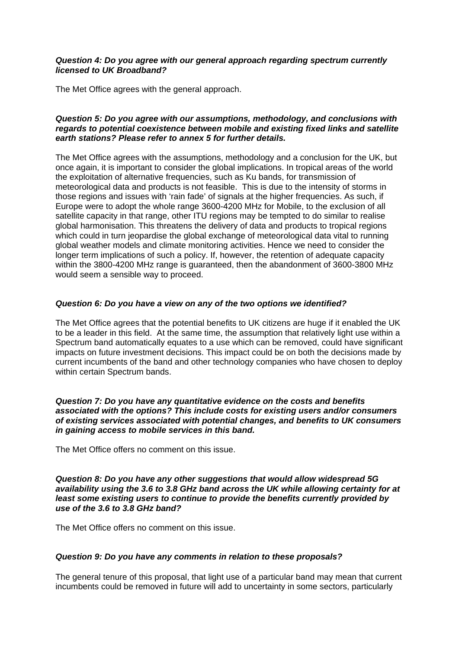### *Question 4: Do you agree with our general approach regarding spectrum currently licensed to UK Broadband?*

The Met Office agrees with the general approach.

## *Question 5: Do you agree with our assumptions, methodology, and conclusions with regards to potential coexistence between mobile and existing fixed links and satellite earth stations? Please refer to annex 5 for further details.*

The Met Office agrees with the assumptions, methodology and a conclusion for the UK, but once again, it is important to consider the global implications. In tropical areas of the world the exploitation of alternative frequencies, such as Ku bands, for transmission of meteorological data and products is not feasible. This is due to the intensity of storms in those regions and issues with 'rain fade' of signals at the higher frequencies. As such, if Europe were to adopt the whole range 3600-4200 MHz for Mobile, to the exclusion of all satellite capacity in that range, other ITU regions may be tempted to do similar to realise global harmonisation. This threatens the delivery of data and products to tropical regions which could in turn jeopardise the global exchange of meteorological data vital to running global weather models and climate monitoring activities. Hence we need to consider the longer term implications of such a policy. If, however, the retention of adequate capacity within the 3800-4200 MHz range is guaranteed, then the abandonment of 3600-3800 MHz would seem a sensible way to proceed.

## *Question 6: Do you have a view on any of the two options we identified?*

The Met Office agrees that the potential benefits to UK citizens are huge if it enabled the UK to be a leader in this field. At the same time, the assumption that relatively light use within a Spectrum band automatically equates to a use which can be removed, could have significant impacts on future investment decisions. This impact could be on both the decisions made by current incumbents of the band and other technology companies who have chosen to deploy within certain Spectrum bands.

*Question 7: Do you have any quantitative evidence on the costs and benefits associated with the options? This include costs for existing users and/or consumers of existing services associated with potential changes, and benefits to UK consumers in gaining access to mobile services in this band.* 

The Met Office offers no comment on this issue.

*Question 8: Do you have any other suggestions that would allow widespread 5G availability using the 3.6 to 3.8 GHz band across the UK while allowing certainty for at least some existing users to continue to provide the benefits currently provided by use of the 3.6 to 3.8 GHz band?* 

The Met Office offers no comment on this issue.

# *Question 9: Do you have any comments in relation to these proposals?*

The general tenure of this proposal, that light use of a particular band may mean that current incumbents could be removed in future will add to uncertainty in some sectors, particularly